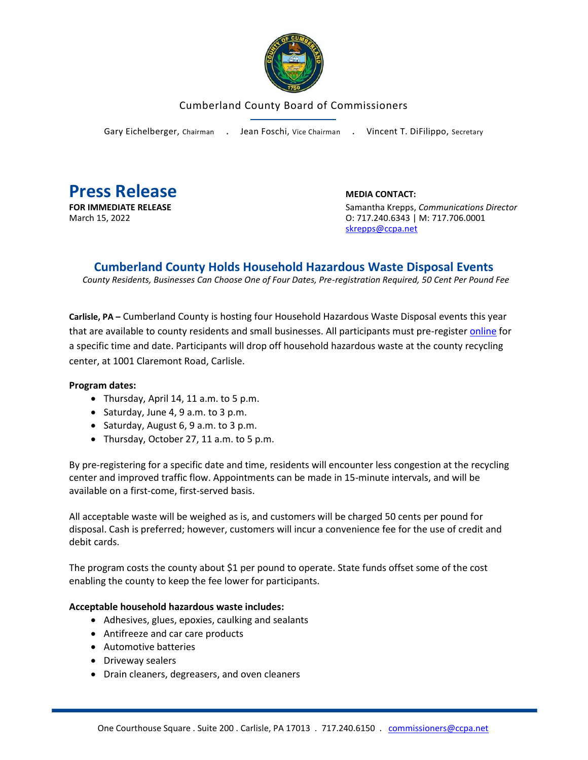

## Cumberland County Board of Commissioners

Gary Eichelberger, Chairman . Jean Foschi, Vice Chairman . Vincent T. DiFilippo, Secretary



**FOR IMMEDIATE RELEASE** Samantha Krepps, *Communications Director* March 15, 2022 O: 717.240.6343 | M: 717.706.0001 [skrepps@ccpa.net](mailto:skrepps@ccpa.net)

## **Cumberland County Holds Household Hazardous Waste Disposal Events**

*County Residents, Businesses Can Choose One of Four Dates, Pre-registration Required, 50 Cent Per Pound Fee*

**Carlisle, PA –** Cumberland County is hosting four Household Hazardous Waste Disposal events this year that are available to county residents and small businesses. All participants must pre-register [online](https://www.ccpa.net/3499/2021-HHW-Disposal-Program) for a specific time and date. Participants will drop off household hazardous waste at the county recycling center, at 1001 Claremont Road, Carlisle.

## **Program dates:**

- Thursday, April 14, 11 a.m. to 5 p.m.
- Saturday, June 4, 9 a.m. to 3 p.m.
- Saturday, August 6, 9 a.m. to 3 p.m.
- Thursday, October 27, 11 a.m. to 5 p.m.

By pre-registering for a specific date and time, residents will encounter less congestion at the recycling center and improved traffic flow. Appointments can be made in 15-minute intervals, and will be available on a first-come, first-served basis.

All acceptable waste will be weighed as is, and customers will be charged 50 cents per pound for disposal. Cash is preferred; however, customers will incur a convenience fee for the use of credit and debit cards.

The program costs the county about \$1 per pound to operate. State funds offset some of the cost enabling the county to keep the fee lower for participants.

## **Acceptable household hazardous waste includes:**

- Adhesives, glues, epoxies, caulking and sealants
- Antifreeze and car care products
- Automotive batteries
- Driveway sealers
- Drain cleaners, degreasers, and oven cleaners